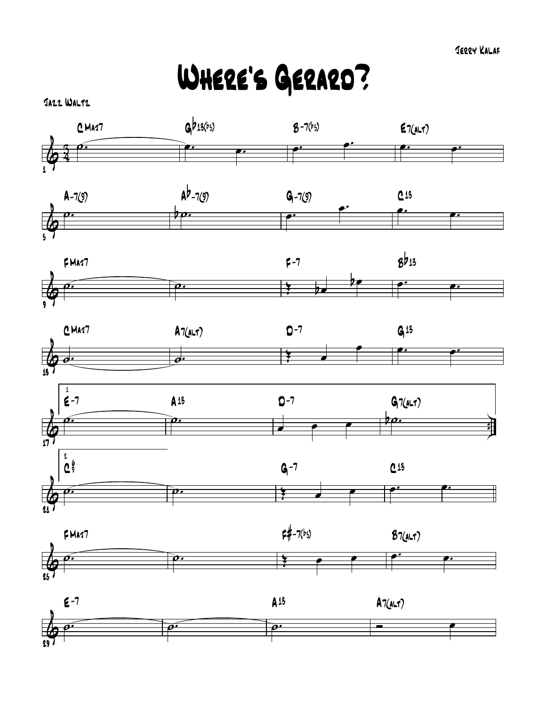Where's Gerard?

Jazz Waltz